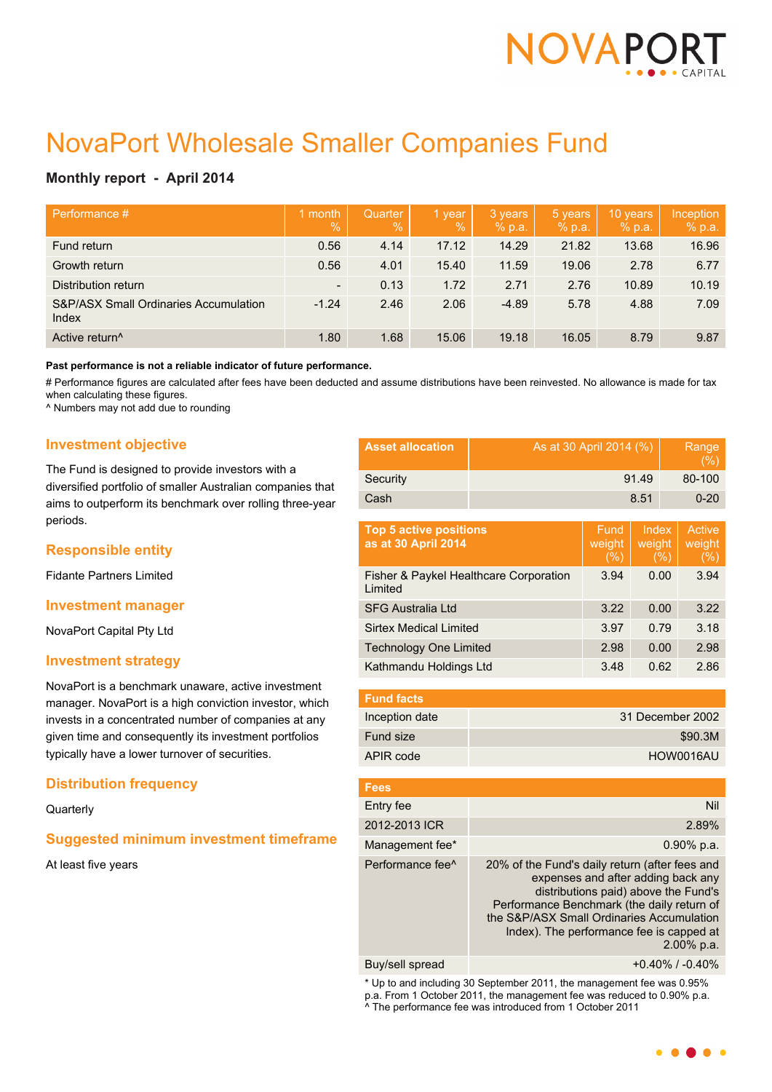

# NovaPort Wholesale Smaller Companies Fund

# **Monthly report - April 2014**

| Performance #                                             | month<br>$\frac{0}{0}$   | Quarter<br>$\%$ | 1 year<br>$\frac{0}{0}$ | 3 years<br>% p.a. | 5 years<br>% p.a. | 10 years<br>% p.a. | Inception<br>% p.a. |
|-----------------------------------------------------------|--------------------------|-----------------|-------------------------|-------------------|-------------------|--------------------|---------------------|
| Fund return                                               | 0.56                     | 4.14            | 17.12                   | 14.29             | 21.82             | 13.68              | 16.96               |
| Growth return                                             | 0.56                     | 4.01            | 15.40                   | 11.59             | 19.06             | 2.78               | 6.77                |
| Distribution return                                       | $\overline{\phantom{a}}$ | 0.13            | 1.72                    | 2.71              | 2.76              | 10.89              | 10.19               |
| <b>S&amp;P/ASX Small Ordinaries Accumulation</b><br>Index | $-1.24$                  | 2.46            | 2.06                    | $-4.89$           | 5.78              | 4.88               | 7.09                |
| Active return <sup>^</sup>                                | 1.80                     | 1.68            | 15.06                   | 19.18             | 16.05             | 8.79               | 9.87                |

**Past performance is not a reliable indicator of future performance.**

# Performance figures are calculated after fees have been deducted and assume distributions have been reinvested. No allowance is made for tax when calculating these figures.

^ Numbers may not add due to rounding

## **Investment objective**

The Fund is designed to provide investors with a diversified portfolio of smaller Australian companies that aims to outperform its benchmark over rolling three-year periods.

## **Responsible entity**

Fidante Partners Limited

## **Investment manager**

NovaPort Capital Pty Ltd

## **Investment strategy**

NovaPort is a benchmark unaware, active investment manager. NovaPort is a high conviction investor, which invests in a concentrated number of companies at any given time and consequently its investment portfolios typically have a lower turnover of securities.

## **Distribution frequency**

**Quarterly** 

## **Suggested minimum investment timeframe**

At least five years

| <b>Asset allocation</b> | As at 30 April 2014 (%) | Range<br>$(\%)$ |
|-------------------------|-------------------------|-----------------|
| Security                | 91.49                   | 80-100          |
| Cash                    | 8.51                    | $0 - 20$        |
|                         |                         |                 |

| <b>Top 5 active positions</b><br>as at 30 April 2014 | Fund<br>weight<br>(%) | Index<br>weight<br>$(\%)$ | Active<br>weight<br>(%) |
|------------------------------------------------------|-----------------------|---------------------------|-------------------------|
| Fisher & Paykel Healthcare Corporation<br>Limited    | 3.94                  | 0.00                      | 3.94                    |
| <b>SFG Australia Ltd</b>                             | 3.22                  | 0.00                      | 3.22                    |
| <b>Sirtex Medical Limited</b>                        | 3.97                  | 0.79                      | 3.18                    |
| <b>Technology One Limited</b>                        | 2.98                  | 0.00                      | 2.98                    |
| Kathmandu Holdings Ltd                               | 3.48                  | 0.62                      | 2.86                    |

| <b>Fund facts</b> |                  |
|-------------------|------------------|
| Inception date    | 31 December 2002 |
| Fund size         | \$90.3M          |
| APIR code         | HOW0016AU        |

| <b>Fees</b>                  |                                                                                                                                                                                                                                                                                      |
|------------------------------|--------------------------------------------------------------------------------------------------------------------------------------------------------------------------------------------------------------------------------------------------------------------------------------|
| Entry fee                    | Nil                                                                                                                                                                                                                                                                                  |
| 2012-2013 ICR                | 2.89%                                                                                                                                                                                                                                                                                |
| Management fee*              | $0.90\%$ p.a.                                                                                                                                                                                                                                                                        |
| Performance fee <sup>^</sup> | 20% of the Fund's daily return (after fees and<br>expenses and after adding back any<br>distributions paid) above the Fund's<br>Performance Benchmark (the daily return of<br>the S&P/ASX Small Ordinaries Accumulation<br>Index). The performance fee is capped at<br>$2.00\%$ p.a. |
|                              |                                                                                                                                                                                                                                                                                      |

Buy/sell spread +0.40% / -0.40%

\* Up to and including 30 September 2011, the management fee was 0.95% p.a. From 1 October 2011, the management fee was reduced to 0.90% p.a. ^ The performance fee was introduced from 1 October 2011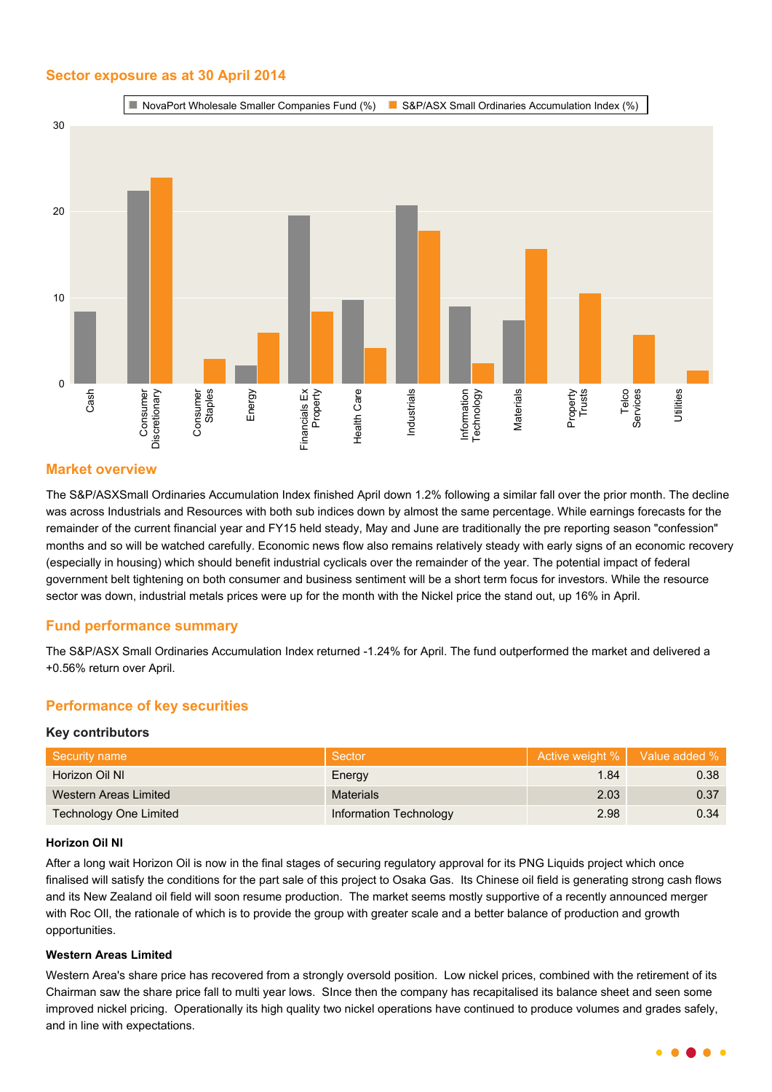## **Sector exposure as at 30 April 2014**



## **Market overview**

The S&P/ASXSmall Ordinaries Accumulation Index finished April down 1.2% following a similar fall over the prior month. The decline was across Industrials and Resources with both sub indices down by almost the same percentage. While earnings forecasts for the remainder of the current financial year and FY15 held steady, May and June are traditionally the pre reporting season "confession" months and so will be watched carefully. Economic news flow also remains relatively steady with early signs of an economic recovery (especially in housing) which should benefit industrial cyclicals over the remainder of the year. The potential impact of federal government belt tightening on both consumer and business sentiment will be a short term focus for investors. While the resource sector was down, industrial metals prices were up for the month with the Nickel price the stand out, up 16% in April.

## **Fund performance summary**

The S&P/ASX Small Ordinaries Accumulation Index returned -1.24% for April. The fund outperformed the market and delivered a +0.56% return over April.

## **Performance of key securities**

## **Key contributors**

| Security name                 | Sector                 |      | Active weight %   Value added % |
|-------------------------------|------------------------|------|---------------------------------|
| Horizon Oil NI                | Energy                 | 1.84 | 0.38                            |
| Western Areas Limited         | <b>Materials</b>       | 2.03 | 0.37                            |
| <b>Technology One Limited</b> | Information Technology | 2.98 | 0.34                            |

## **Horizon Oil Nl**

After a long wait Horizon Oil is now in the final stages of securing regulatory approval for its PNG Liquids project which once finalised will satisfy the conditions for the part sale of this project to Osaka Gas. Its Chinese oil field is generating strong cash flows and its New Zealand oil field will soon resume production. The market seems mostly supportive of a recently announced merger with Roc OII, the rationale of which is to provide the group with greater scale and a better balance of production and growth opportunities.

## **Western Areas Limited**

Western Area's share price has recovered from a strongly oversold position. Low nickel prices, combined with the retirement of its Chairman saw the share price fall to multi year lows. SInce then the company has recapitalised its balance sheet and seen some improved nickel pricing. Operationally its high quality two nickel operations have continued to produce volumes and grades safely, and in line with expectations.